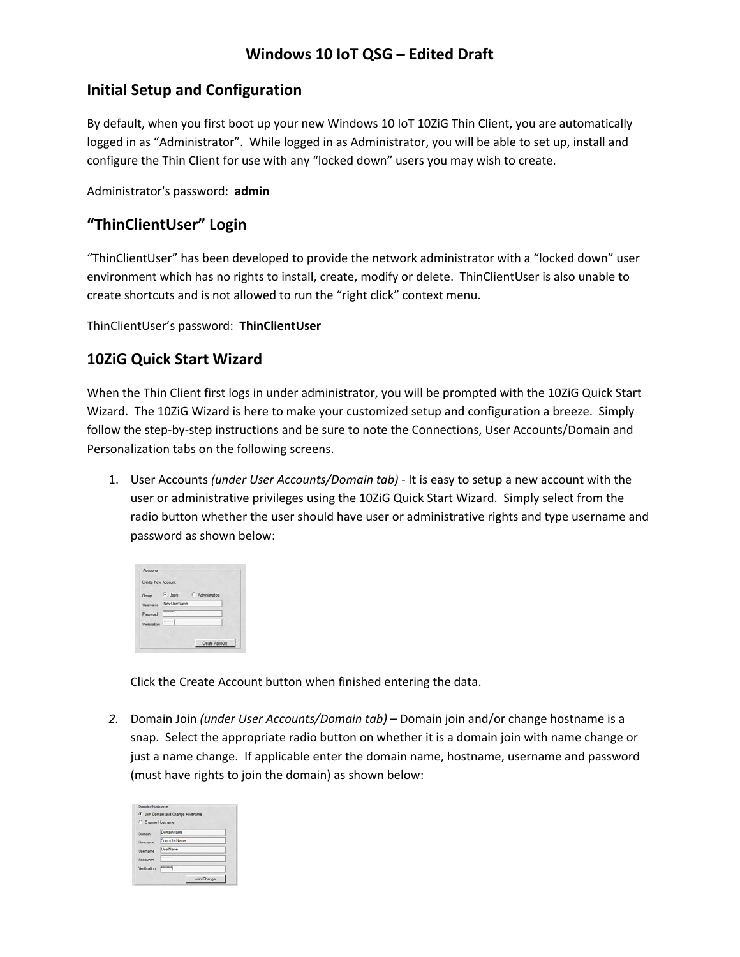# **Windows 10 IoT QSG – Edited Draft**

## **Initial Setup and Configuration**

By default, when you first boot up your new Windows 10 IoT 10ZiG Thin Client, you are automatically logged in as "Administrator". While logged in as Administrator, you will be able to set up, install and configure the Thin Client for use with any "locked down" users you may wish to create.

Administrator's password: **admin**

#### **"ThinClientUser" Login**

"ThinClientUser" has been developed to provide the network administrator with a "locked down" user environment which has no rights to install, create, modify or delete. ThinClientUser is also unable to create shortcuts and is not allowed to run the "right click" context menu.

ThinClientUser's password: **ThinClientUser** 

#### **10ZiG Quick Start Wizard**

When the Thin Client first logs in under administrator, you will be prompted with the 10ZiG Quick Start Wizard. The 10ZiG Wizard is here to make your customized setup and configuration a breeze. Simply follow the step‐by‐step instructions and be sure to note the Connections, User Accounts/Domain and Personalization tabs on the following screens.

1. User Accounts *(under User Accounts/Domain tab) ‐* It is easy to setup a new account with the user or administrative privileges using the 10ZiG Quick Start Wizard. Simply select from the radio button whether the user should have user or administrative rights and type username and password as shown below:

| Group       | G Users C Administrators |
|-------------|--------------------------|
| bemane      | New UserName             |
| Password    |                          |
| Verfication | ----                     |

Click the Create Account button when finished entering the data.

*2.* Domain Join *(under User Accounts/Domain tab) –* Domain join and/or change hostname is a snap. Select the appropriate radio button on whether it is a domain join with name change or just a name change. If applicable enter the domain name, hostname, username and password (must have rights to join the domain) as shown below:

|                   | <b>C</b> Join Domain and Change Hostname |
|-------------------|------------------------------------------|
| C Change Hostname |                                          |
| Domain            | DomainName                               |
| Hostname          | ComputerName                             |
| Usercame          | <b>UserName</b>                          |
| Passwort          | --------                                 |
|                   |                                          |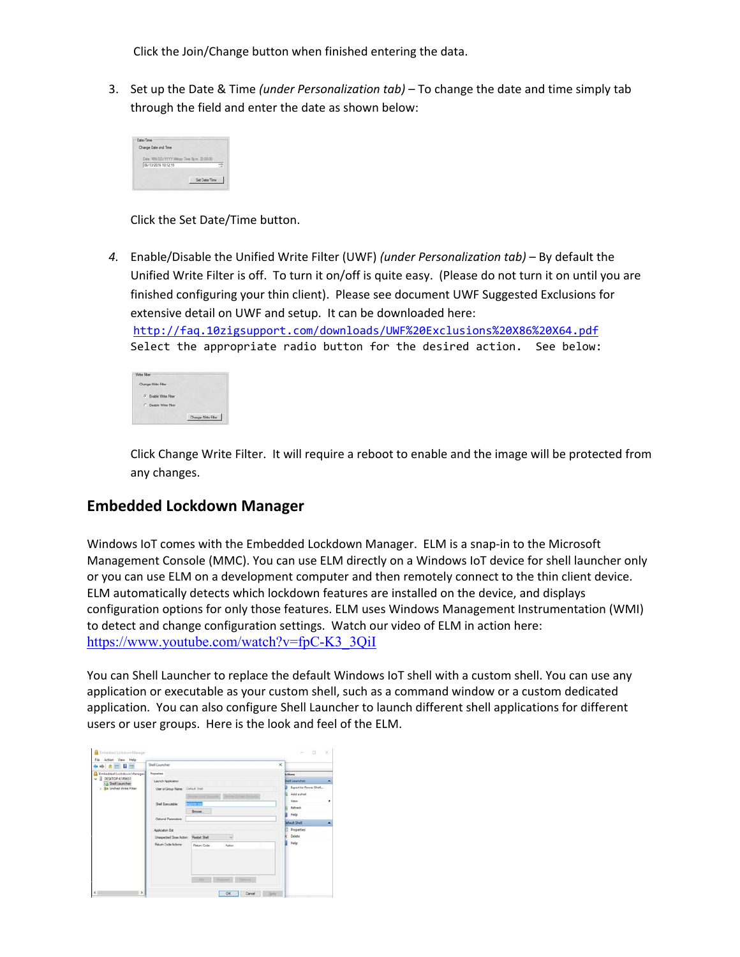Click the Join/Change button when finished entering the data.

3. Set up the Date & Time *(under Personalization tab) –* To change the date and time simply tab through the field and enter the date as shown below:

| 06/13/2016 10:12:19 |  |  |
|---------------------|--|--|
|---------------------|--|--|

Click the Set Date/Time button.

*4.* Enable/Disable the Unified Write Filter (UWF) *(under Personalization tab)* – By default the Unified Write Filter is off. To turn it on/off is quite easy. (Please do not turn it on until you are finished configuring your thin client). Please see document UWF Suggested Exclusions for extensive detail on UWF and setup. It can be downloaded here:

http://faq.10zigsupport.com/downloads/UWF%20Exclusions%20X86%20X64.pdf Select the appropriate radio button for the desired action. See below:

| Change Witte Filter |                    |
|---------------------|--------------------|
| (F English With     |                    |
| Deable With Filter  |                    |
|                     | Change With Filter |

Click Change Write Filter. It will require a reboot to enable and the image will be protected from any changes.

#### **Embedded Lockdown Manager**

Windows IoT comes with the Embedded Lockdown Manager. ELM is a snap-in to the Microsoft Management Console (MMC). You can use ELM directly on a Windows IoT device for shell launcher only or you can use ELM on a development computer and then remotely connect to the thin client device. ELM automatically detects which lockdown features are installed on the device, and displays configuration options for only those features. ELM uses Windows Management Instrumentation (WMI) to detect and change configuration settings. Watch our video of ELM in action here: https://www.youtube.com/watch?v=fpC-K3\_3QiI

You can Shell Launcher to replace the default Windows IoT shell with a custom shell. You can use any application or executable as your custom shell, such as a command window or a custom dedicated application. You can also configure Shell Launcher to launch different shell applications for different users or user groups. Here is the look and feel of the ELM.

| ←→ 右面目面                                                                                                        | Shell Launcher                                                                                                                                                                                 |                                                                                                                  | $\times$                                                                                                                                                         |   |
|----------------------------------------------------------------------------------------------------------------|------------------------------------------------------------------------------------------------------------------------------------------------------------------------------------------------|------------------------------------------------------------------------------------------------------------------|------------------------------------------------------------------------------------------------------------------------------------------------------------------|---|
| Embedded Lockdown Manager<br><b>B</b> DESKTOP-K1R9651<br>no Shell Launcher<br>S <b>Ga Unified Write Filter</b> | Properties<br>Launch Application<br>User or Group Name: Civil all that<br><b>Shall Executable:</b><br><b>CONTRACTOR</b><br>Optional Parameters:<br>Application Est<br>Unexpected Close Action: | Donald Grid Associated Chronic Corner Returns<br><b>CALIFORNIA MOVE</b><br><b>Browns</b><br><b>Restart Shell</b> | <b>kctions</b><br><b>Ihell Lauruther</b><br>Export to Power Shell<br>Add a shell<br>View<br>Refresh<br>Help<br><b>Mault Shell</b><br><b>Properties</b><br>Delete | ◚ |
| x                                                                                                              | <b>Return Code Actions</b>                                                                                                                                                                     | Return Code<br>Action<br>ARCHIM CRASHARO<br><b>Collection</b><br>Careel Juny<br>OK                               | <b>Help</b>                                                                                                                                                      |   |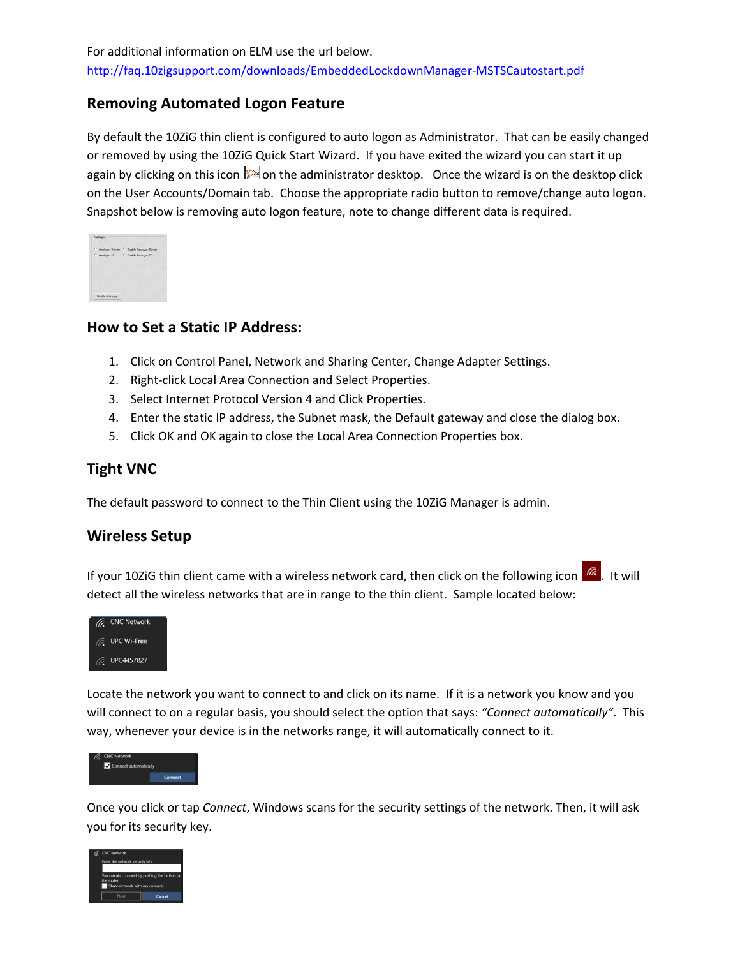## **Removing Automated Logon Feature**

By default the 10ZiG thin client is configured to auto logon as Administrator. That can be easily changed or removed by using the 10ZiG Quick Start Wizard. If you have exited the wizard you can start it up again by clicking on this icon  $\|P\|$  on the administrator desktop. Once the wizard is on the desktop click on the User Accounts/Domain tab. Choose the appropriate radio button to remove/change auto logon. Snapshot below is removing auto logon feature, note to change different data is required.

|                                       | C Autologon Domain C Disable Autologon Domain |
|---------------------------------------|-----------------------------------------------|
| C Autologon PC    Quable Autologon PC |                                               |
|                                       |                                               |
|                                       |                                               |
|                                       |                                               |
|                                       |                                               |
|                                       |                                               |

## **How to Set a Static IP Address:**

- 1. Click on Control Panel, Network and Sharing Center, Change Adapter Settings.
- 2. Right‐click Local Area Connection and Select Properties.
- 3. Select Internet Protocol Version 4 and Click Properties.
- 4. Enter the static IP address, the Subnet mask, the Default gateway and close the dialog box.
- 5. Click OK and OK again to close the Local Area Connection Properties box.

## **Tight VNC**

The default password to connect to the Thin Client using the 10ZiG Manager is admin.

## **Wireless Setup**

If your 10ZiG thin client came with a wireless network card, then click on the following icon  $\frac{1}{16}$ . It will detect all the wireless networks that are in range to the thin client. Sample located below:



Locate the network you want to connect to and click on its name. If it is a network you know and you will connect to on a regular basis, you should select the option that says: *"Connect automatically"*. This way, whenever your device is in the networks range, it will automatically connect to it.



Once you click or tap *Connect*, Windows scans for the security settings of the network. Then, it will ask you for its security key.

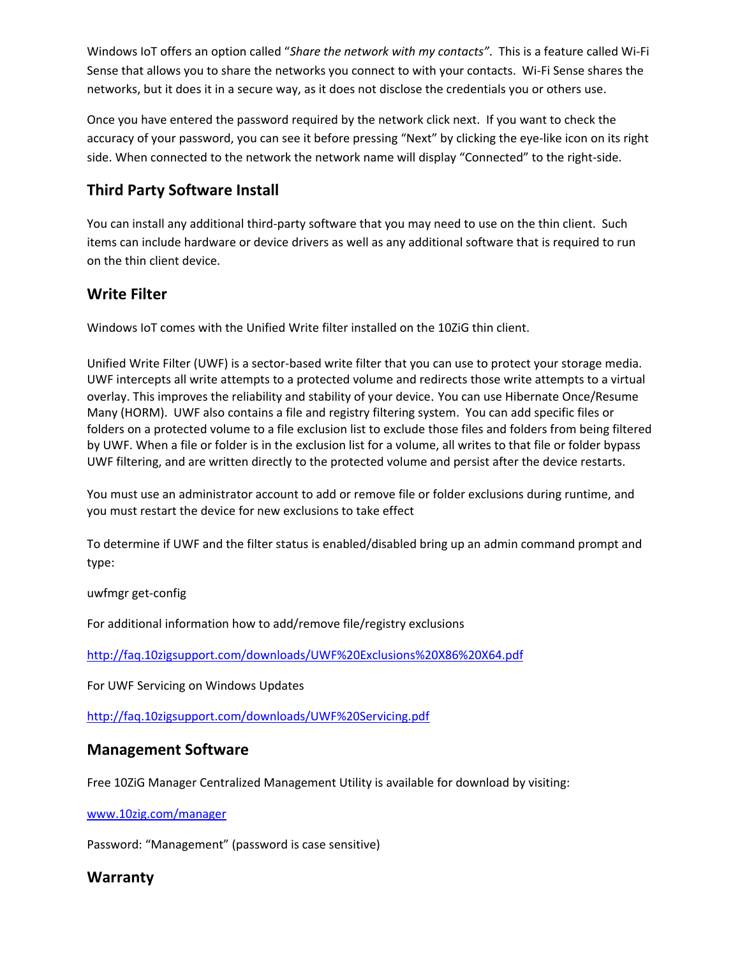Windows IoT offers an option called "*Share the network with my contacts"*. This is a feature called Wi‐Fi Sense that allows you to share the networks you connect to with your contacts. Wi‐Fi Sense shares the networks, but it does it in a secure way, as it does not disclose the credentials you or others use.

Once you have entered the password required by the network click next. If you want to check the accuracy of your password, you can see it before pressing "Next" by clicking the eye-like icon on its right side. When connected to the network the network name will display "Connected" to the right‐side.

## **Third Party Software Install**

You can install any additional third‐party software that you may need to use on the thin client. Such items can include hardware or device drivers as well as any additional software that is required to run on the thin client device.

## **Write Filter**

Windows IoT comes with the Unified Write filter installed on the 10ZiG thin client.

Unified Write Filter (UWF) is a sector‐based write filter that you can use to protect your storage media. UWF intercepts all write attempts to a protected volume and redirects those write attempts to a virtual overlay. This improves the reliability and stability of your device. You can use Hibernate Once/Resume Many (HORM). UWF also contains a file and registry filtering system. You can add specific files or folders on a protected volume to a file exclusion list to exclude those files and folders from being filtered by UWF. When a file or folder is in the exclusion list for a volume, all writes to that file or folder bypass UWF filtering, and are written directly to the protected volume and persist after the device restarts.

You must use an administrator account to add or remove file or folder exclusions during runtime, and you must restart the device for new exclusions to take effect

To determine if UWF and the filter status is enabled/disabled bring up an admin command prompt and type:

uwfmgr get‐config

For additional information how to add/remove file/registry exclusions

http://faq.10zigsupport.com/downloads/UWF%20Exclusions%20X86%20X64.pdf

For UWF Servicing on Windows Updates

http://faq.10zigsupport.com/downloads/UWF%20Servicing.pdf

#### **Management Software**

Free 10ZiG Manager Centralized Management Utility is available for download by visiting:

www.10zig.com/manager

Password: "Management" (password is case sensitive)

## **Warranty**